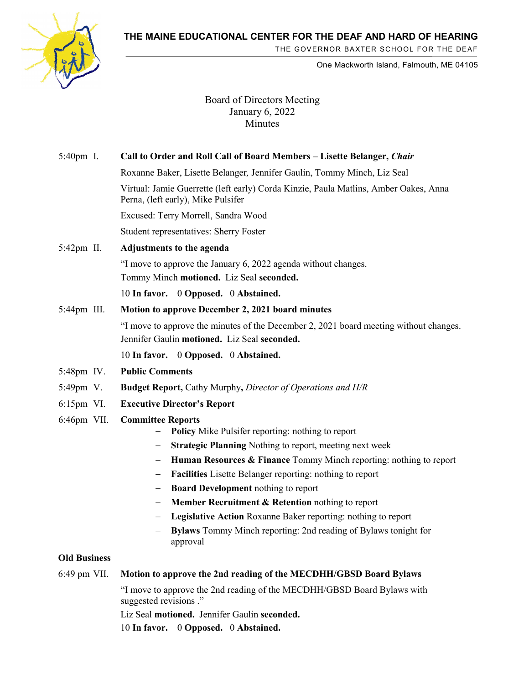**THE MAINE EDUCATIONAL CENTER FOR THE DEAF AND HARD OF HEARING**



THE GOVERNOR BAXTER SCHOOL FOR THE DEAF

One Mackworth Island, Falmouth, ME 04105

Board of Directors Meeting January 6, 2022 Minutes

| 5:40pm I.           | Call to Order and Roll Call of Board Members - Lisette Belanger, Chair                                                                |
|---------------------|---------------------------------------------------------------------------------------------------------------------------------------|
|                     | Roxanne Baker, Lisette Belanger, Jennifer Gaulin, Tommy Minch, Liz Seal                                                               |
|                     | Virtual: Jamie Guerrette (left early) Corda Kinzie, Paula Matlins, Amber Oakes, Anna<br>Perna, (left early), Mike Pulsifer            |
|                     | Excused: Terry Morrell, Sandra Wood                                                                                                   |
|                     | Student representatives: Sherry Foster                                                                                                |
| 5:42pm II.          | Adjustments to the agenda                                                                                                             |
|                     | "I move to approve the January 6, 2022 agenda without changes.                                                                        |
|                     | Tommy Minch motioned. Liz Seal seconded.                                                                                              |
|                     | 10 In favor. 0 Opposed. 0 Abstained.                                                                                                  |
| 5:44pm III.         | Motion to approve December 2, 2021 board minutes                                                                                      |
|                     | "I move to approve the minutes of the December 2, 2021 board meeting without changes.<br>Jennifer Gaulin motioned. Liz Seal seconded. |
|                     | 10 In favor. 0 Opposed. 0 Abstained.                                                                                                  |
| 5:48pm IV.          | <b>Public Comments</b>                                                                                                                |
| 5:49pm V.           | <b>Budget Report, Cathy Murphy, Director of Operations and H/R</b>                                                                    |
| $6:15$ pm VI.       | <b>Executive Director's Report</b>                                                                                                    |
| 6:46pm VII.         | <b>Committee Reports</b><br>Policy Mike Pulsifer reporting: nothing to report                                                         |
|                     | <b>Strategic Planning Nothing to report, meeting next week</b>                                                                        |
|                     | Human Resources & Finance Tommy Minch reporting: nothing to report                                                                    |
|                     | Facilities Lisette Belanger reporting: nothing to report<br>$\qquad \qquad -$                                                         |
|                     | <b>Board Development nothing to report</b><br>Member Recruitment & Retention nothing to report                                        |
|                     | Legislative Action Roxanne Baker reporting: nothing to report<br>$\qquad \qquad -$                                                    |
|                     | <b>Bylaws</b> Tommy Minch reporting: 2nd reading of Bylaws tonight for<br>approval                                                    |
| <b>Old Business</b> |                                                                                                                                       |
| 6:49 pm VII.        | Motion to approve the 2nd reading of the MECDHH/GBSD Board Bylaws                                                                     |
|                     | "I move to approve the 2nd reading of the MECDHH/GBSD Board Bylaws with                                                               |

suggested revisions ." Liz Seal **motioned.** Jennifer Gaulin **seconded.**

10 **In favor.** 0 **Opposed.** 0 **Abstained.**